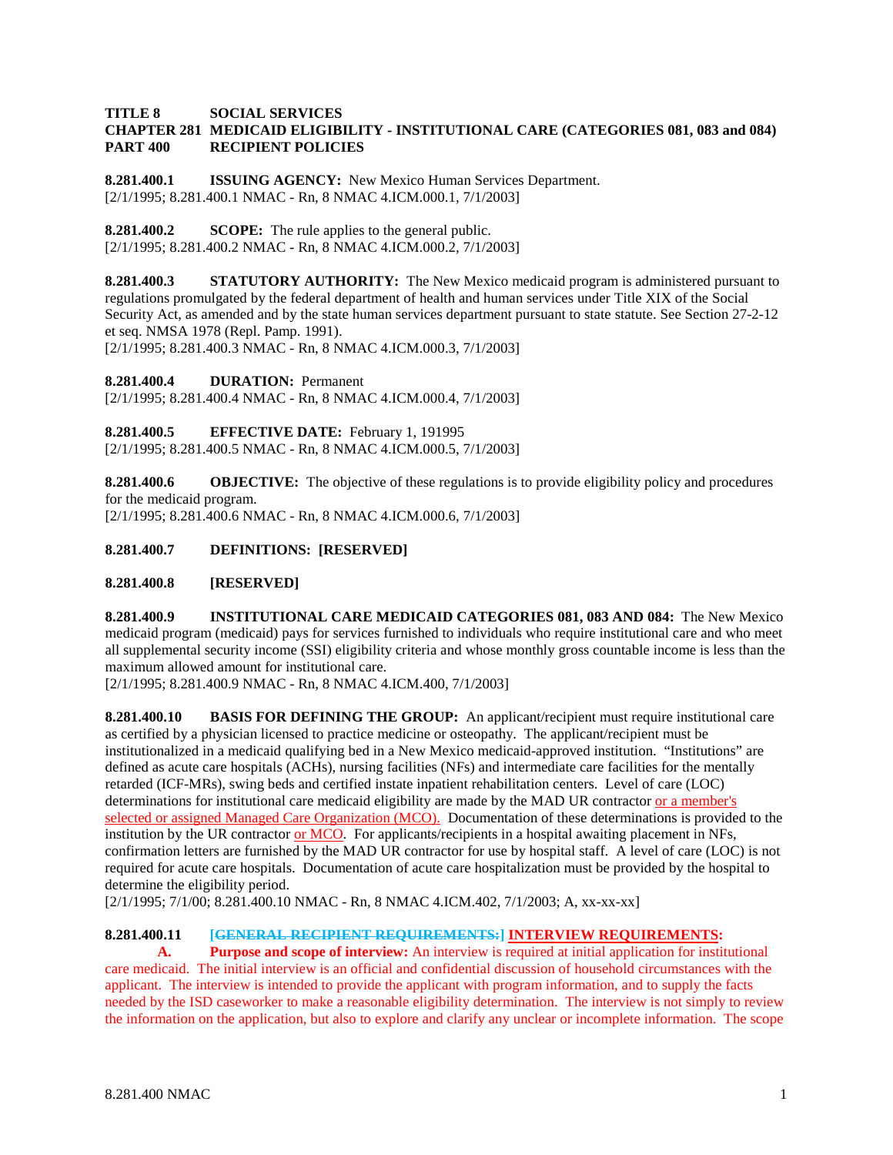### **TITLE 8 SOCIAL SERVICES CHAPTER 281 MEDICAID ELIGIBILITY - INSTITUTIONAL CARE (CATEGORIES 081, 083 and 084) PART 400 RECIPIENT POLICIES**

**8.281.400.1 ISSUING AGENCY:** New Mexico Human Services Department. [2/1/1995; 8.281.400.1 NMAC - Rn, 8 NMAC 4.ICM.000.1, 7/1/2003]

**8.281.400.2 SCOPE:** The rule applies to the general public. [2/1/1995; 8.281.400.2 NMAC - Rn, 8 NMAC 4.ICM.000.2, 7/1/2003]

**8.281.400.3 STATUTORY AUTHORITY:** The New Mexico medicaid program is administered pursuant to regulations promulgated by the federal department of health and human services under Title XIX of the Social Security Act, as amended and by the state human services department pursuant to state statute. See Section 27-2-12 et seq. NMSA 1978 (Repl. Pamp. 1991).

[2/1/1995; 8.281.400.3 NMAC - Rn, 8 NMAC 4.ICM.000.3, 7/1/2003]

**8.281.400.4 DURATION:** Permanent

[2/1/1995; 8.281.400.4 NMAC - Rn, 8 NMAC 4.ICM.000.4, 7/1/2003]

**8.281.400.5 EFFECTIVE DATE:** February 1, 191995 [2/1/1995; 8.281.400.5 NMAC - Rn, 8 NMAC 4.ICM.000.5, 7/1/2003]

**8.281.400.6 OBJECTIVE:** The objective of these regulations is to provide eligibility policy and procedures for the medicaid program. [2/1/1995; 8.281.400.6 NMAC - Rn, 8 NMAC 4.ICM.000.6, 7/1/2003]

## **8.281.400.7 DEFINITIONS: [RESERVED]**

### **8.281.400.8 [RESERVED]**

**8.281.400.9 INSTITUTIONAL CARE MEDICAID CATEGORIES 081, 083 AND 084:** The New Mexico medicaid program (medicaid) pays for services furnished to individuals who require institutional care and who meet all supplemental security income (SSI) eligibility criteria and whose monthly gross countable income is less than the maximum allowed amount for institutional care.

[2/1/1995; 8.281.400.9 NMAC - Rn, 8 NMAC 4.ICM.400, 7/1/2003]

**8.281.400.10 BASIS FOR DEFINING THE GROUP:** An applicant/recipient must require institutional care as certified by a physician licensed to practice medicine or osteopathy. The applicant/recipient must be institutionalized in a medicaid qualifying bed in a New Mexico medicaid-approved institution. "Institutions" are defined as acute care hospitals (ACHs), nursing facilities (NFs) and intermediate care facilities for the mentally retarded (ICF-MRs), swing beds and certified instate inpatient rehabilitation centers. Level of care (LOC) determinations for institutional care medicaid eligibility are made by the MAD UR contractor or a member's selected or assigned Managed Care Organization (MCO). Documentation of these determinations is provided to the institution by the UR contractor or MCO. For applicants/recipients in a hospital awaiting placement in NFs, confirmation letters are furnished by the MAD UR contractor for use by hospital staff. A level of care (LOC) is not required for acute care hospitals. Documentation of acute care hospitalization must be provided by the hospital to determine the eligibility period.

[2/1/1995; 7/1/00; 8.281.400.10 NMAC - Rn, 8 NMAC 4.ICM.402, 7/1/2003; A, xx-xx-xx]

# **8.281.400.11 [GENERAL RECIPIENT REQUIREMENTS:] INTERVIEW REQUIREMENTS:**

**A. Purpose and scope of interview:** An interview is required at initial application for institutional care medicaid. The initial interview is an official and confidential discussion of household circumstances with the applicant. The interview is intended to provide the applicant with program information, and to supply the facts needed by the ISD caseworker to make a reasonable eligibility determination. The interview is not simply to review the information on the application, but also to explore and clarify any unclear or incomplete information. The scope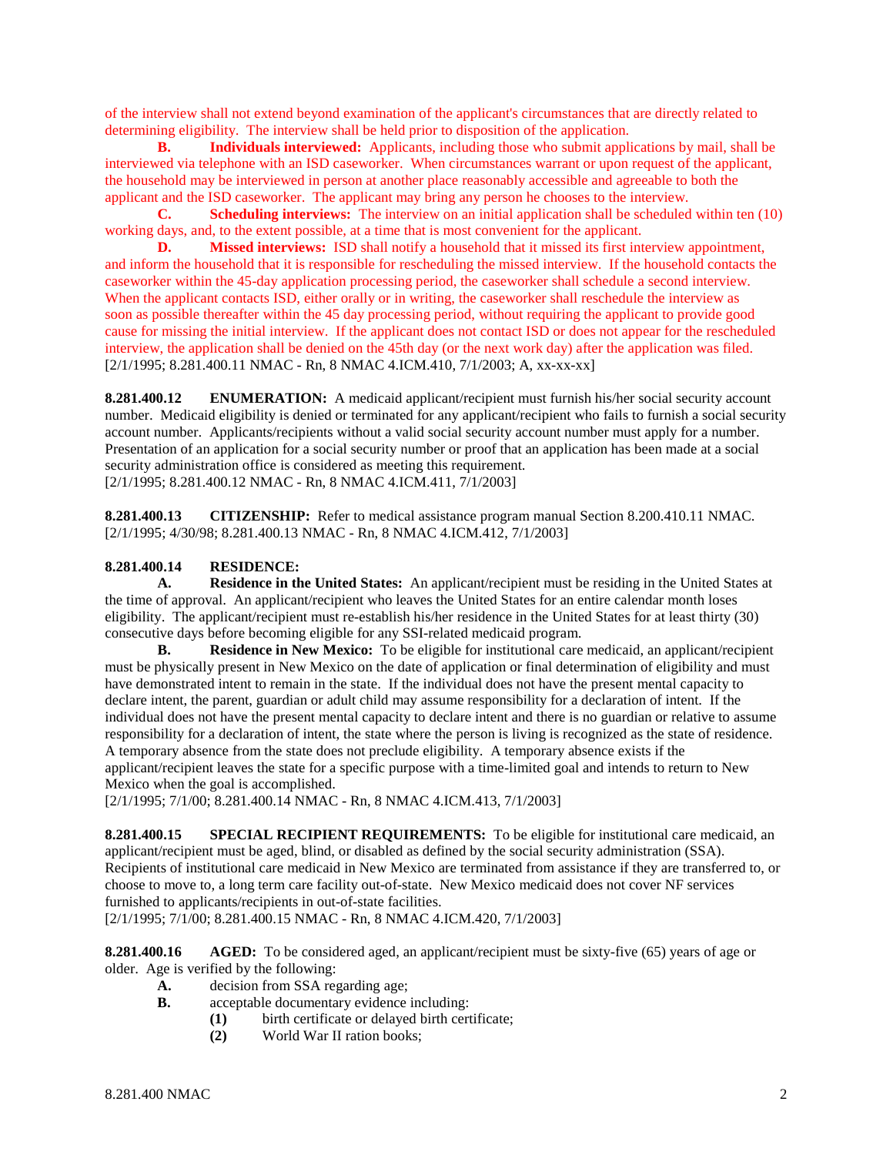of the interview shall not extend beyond examination of the applicant's circumstances that are directly related to determining eligibility. The interview shall be held prior to disposition of the application.

**B. Individuals interviewed:** Applicants, including those who submit applications by mail, shall be interviewed via telephone with an ISD caseworker. When circumstances warrant or upon request of the applicant, the household may be interviewed in person at another place reasonably accessible and agreeable to both the applicant and the ISD caseworker. The applicant may bring any person he chooses to the interview.

**C. Scheduling interviews:** The interview on an initial application shall be scheduled within ten (10) working days, and, to the extent possible, at a time that is most convenient for the applicant.

**D. Missed interviews:** ISD shall notify a household that it missed its first interview appointment, and inform the household that it is responsible for rescheduling the missed interview. If the household contacts the caseworker within the 45-day application processing period, the caseworker shall schedule a second interview. When the applicant contacts ISD, either orally or in writing, the caseworker shall reschedule the interview as soon as possible thereafter within the 45 day processing period, without requiring the applicant to provide good cause for missing the initial interview. If the applicant does not contact ISD or does not appear for the rescheduled interview, the application shall be denied on the 45th day (or the next work day) after the application was filed. [2/1/1995; 8.281.400.11 NMAC - Rn, 8 NMAC 4.ICM.410, 7/1/2003; A, xx-xx-xx]

**8.281.400.12 ENUMERATION:** A medicaid applicant/recipient must furnish his/her social security account number. Medicaid eligibility is denied or terminated for any applicant/recipient who fails to furnish a social security account number. Applicants/recipients without a valid social security account number must apply for a number. Presentation of an application for a social security number or proof that an application has been made at a social security administration office is considered as meeting this requirement. [2/1/1995; 8.281.400.12 NMAC - Rn, 8 NMAC 4.ICM.411, 7/1/2003]

**8.281.400.13 CITIZENSHIP:** Refer to medical assistance program manual Section 8.200.410.11 NMAC. [2/1/1995; 4/30/98; 8.281.400.13 NMAC - Rn, 8 NMAC 4.ICM.412, 7/1/2003]

### **8.281.400.14 RESIDENCE:**

**A. Residence in the United States:** An applicant/recipient must be residing in the United States at the time of approval. An applicant/recipient who leaves the United States for an entire calendar month loses eligibility. The applicant/recipient must re-establish his/her residence in the United States for at least thirty (30) consecutive days before becoming eligible for any SSI-related medicaid program.

**B. Residence in New Mexico:** To be eligible for institutional care medicaid, an applicant/recipient must be physically present in New Mexico on the date of application or final determination of eligibility and must have demonstrated intent to remain in the state. If the individual does not have the present mental capacity to declare intent, the parent, guardian or adult child may assume responsibility for a declaration of intent. If the individual does not have the present mental capacity to declare intent and there is no guardian or relative to assume responsibility for a declaration of intent, the state where the person is living is recognized as the state of residence. A temporary absence from the state does not preclude eligibility. A temporary absence exists if the applicant/recipient leaves the state for a specific purpose with a time-limited goal and intends to return to New Mexico when the goal is accomplished.

[2/1/1995; 7/1/00; 8.281.400.14 NMAC - Rn, 8 NMAC 4.ICM.413, 7/1/2003]

**8.281.400.15 SPECIAL RECIPIENT REQUIREMENTS:** To be eligible for institutional care medicaid, an applicant/recipient must be aged, blind, or disabled as defined by the social security administration (SSA). Recipients of institutional care medicaid in New Mexico are terminated from assistance if they are transferred to, or choose to move to, a long term care facility out-of-state. New Mexico medicaid does not cover NF services furnished to applicants/recipients in out-of-state facilities.

[2/1/1995; 7/1/00; 8.281.400.15 NMAC - Rn, 8 NMAC 4.ICM.420, 7/1/2003]

**8.281.400.16 AGED:** To be considered aged, an applicant/recipient must be sixty-five (65) years of age or older. Age is verified by the following:

- **A.** decision from SSA regarding age;
- **B.** acceptable documentary evidence including:
	- **(1)** birth certificate or delayed birth certificate;
	- **(2)** World War II ration books;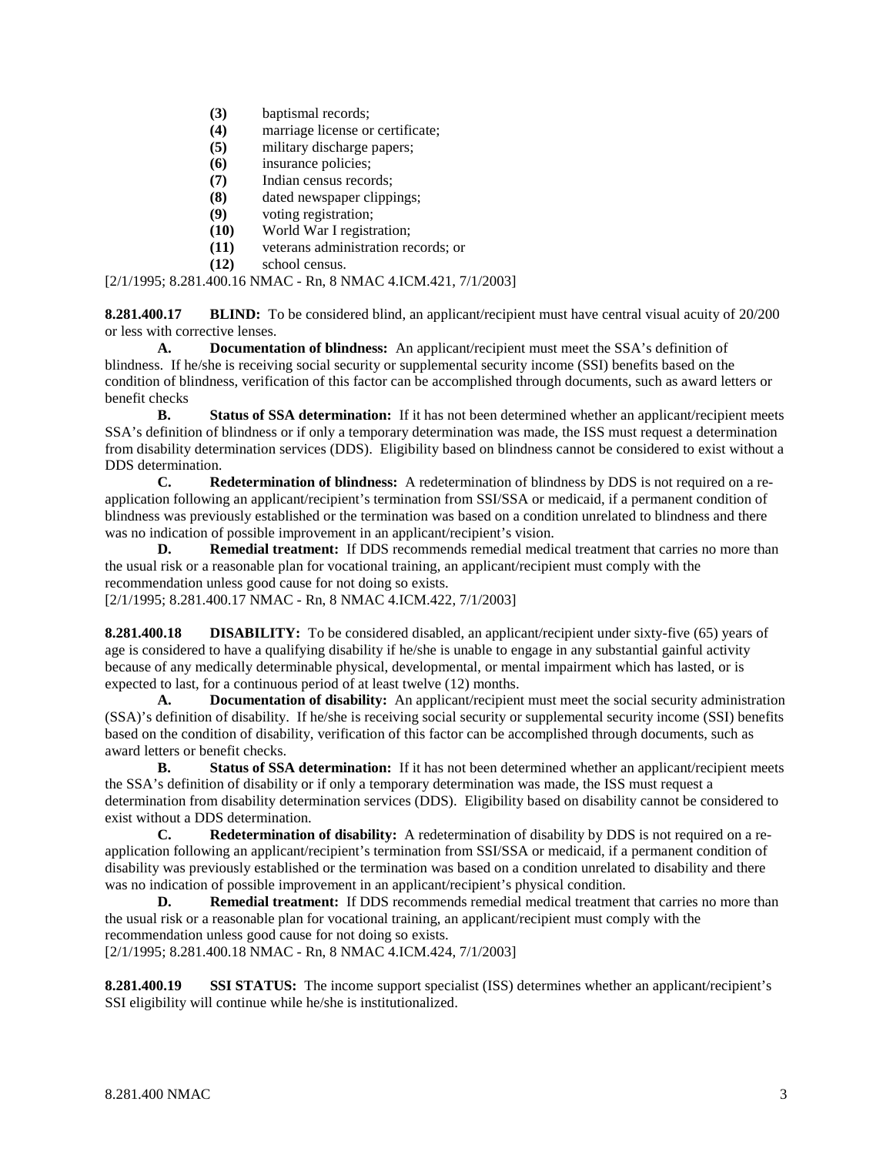- **(3)** baptismal records;
- **(4)** marriage license or certificate;
- **(5)** military discharge papers;
- **(6)** insurance policies;
- **(7)** Indian census records;
- **(8)** dated newspaper clippings;
- **(9)** voting registration;
- **(10)** World War I registration;
- **(11)** veterans administration records; or
- **(12)** school census.

[2/1/1995; 8.281.400.16 NMAC - Rn, 8 NMAC 4.ICM.421, 7/1/2003]

**8.281.400.17 BLIND:** To be considered blind, an applicant/recipient must have central visual acuity of 20/200 or less with corrective lenses.

**A. Documentation of blindness:** An applicant/recipient must meet the SSA's definition of blindness. If he/she is receiving social security or supplemental security income (SSI) benefits based on the condition of blindness, verification of this factor can be accomplished through documents, such as award letters or benefit checks

**B. Status of SSA determination:** If it has not been determined whether an applicant/recipient meets SSA's definition of blindness or if only a temporary determination was made, the ISS must request a determination from disability determination services (DDS). Eligibility based on blindness cannot be considered to exist without a DDS determination.<br> **C.** Re

**C. Redetermination of blindness:** A redetermination of blindness by DDS is not required on a reapplication following an applicant/recipient's termination from SSI/SSA or medicaid, if a permanent condition of blindness was previously established or the termination was based on a condition unrelated to blindness and there was no indication of possible improvement in an applicant/recipient's vision.

**D. Remedial treatment:** If DDS recommends remedial medical treatment that carries no more than the usual risk or a reasonable plan for vocational training, an applicant/recipient must comply with the recommendation unless good cause for not doing so exists.

[2/1/1995; 8.281.400.17 NMAC - Rn, 8 NMAC 4.ICM.422, 7/1/2003]

**8.281.400.18 DISABILITY:** To be considered disabled, an applicant/recipient under sixty-five (65) years of age is considered to have a qualifying disability if he/she is unable to engage in any substantial gainful activity because of any medically determinable physical, developmental, or mental impairment which has lasted, or is expected to last, for a continuous period of at least twelve (12) months.

**A. Documentation of disability:** An applicant/recipient must meet the social security administration (SSA)'s definition of disability. If he/she is receiving social security or supplemental security income (SSI) benefits based on the condition of disability, verification of this factor can be accomplished through documents, such as award letters or benefit checks.

**B. Status of SSA determination:** If it has not been determined whether an applicant/recipient meets the SSA's definition of disability or if only a temporary determination was made, the ISS must request a determination from disability determination services (DDS). Eligibility based on disability cannot be considered to exist without a DDS determination.

**C. Redetermination of disability:** A redetermination of disability by DDS is not required on a reapplication following an applicant/recipient's termination from SSI/SSA or medicaid, if a permanent condition of disability was previously established or the termination was based on a condition unrelated to disability and there was no indication of possible improvement in an applicant/recipient's physical condition.

**D. Remedial treatment:** If DDS recommends remedial medical treatment that carries no more than the usual risk or a reasonable plan for vocational training, an applicant/recipient must comply with the recommendation unless good cause for not doing so exists.

[2/1/1995; 8.281.400.18 NMAC - Rn, 8 NMAC 4.ICM.424, 7/1/2003]

**8.281.400.19 SSI STATUS:** The income support specialist (ISS) determines whether an applicant/recipient's SSI eligibility will continue while he/she is institutionalized.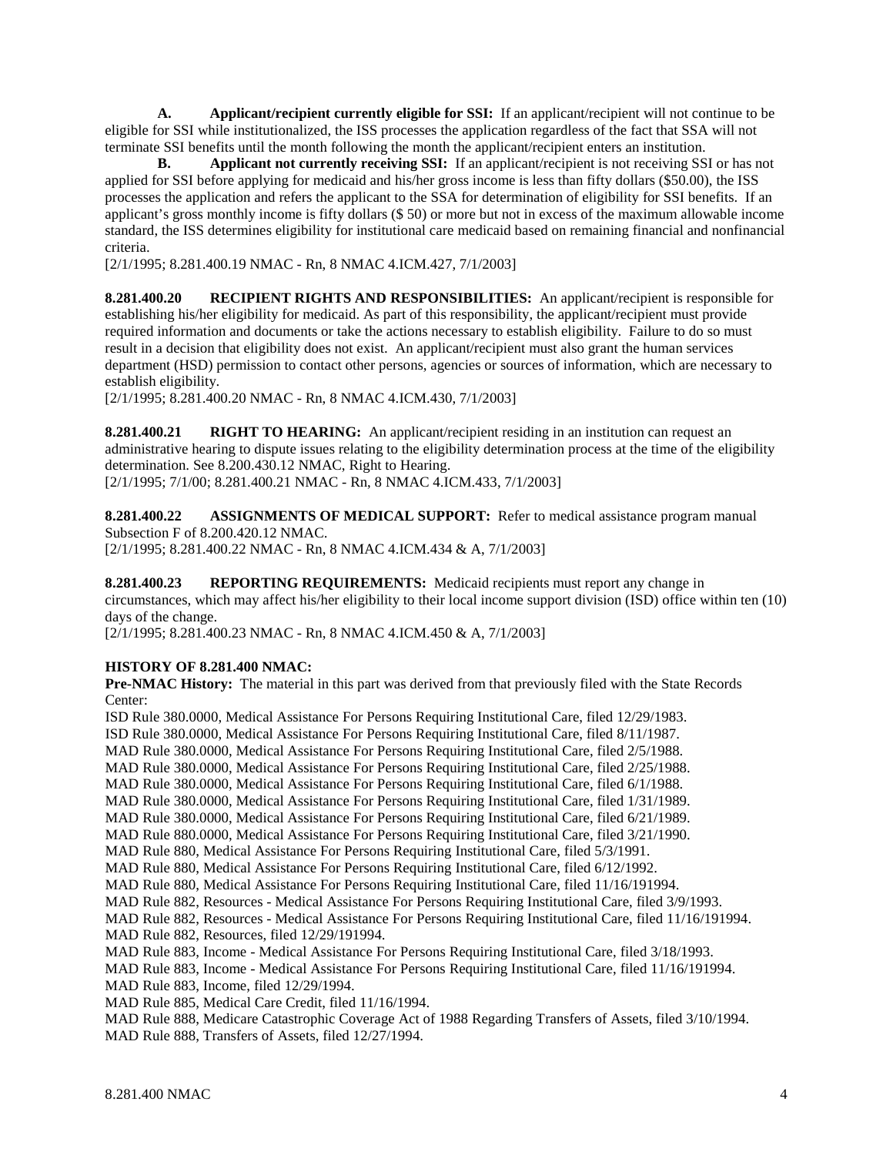**A. Applicant/recipient currently eligible for SSI:** If an applicant/recipient will not continue to be eligible for SSI while institutionalized, the ISS processes the application regardless of the fact that SSA will not terminate SSI benefits until the month following the month the applicant/recipient enters an institution.

**B. Applicant not currently receiving SSI:** If an applicant/recipient is not receiving SSI or has not applied for SSI before applying for medicaid and his/her gross income is less than fifty dollars (\$50.00), the ISS processes the application and refers the applicant to the SSA for determination of eligibility for SSI benefits. If an applicant's gross monthly income is fifty dollars (\$ 50) or more but not in excess of the maximum allowable income standard, the ISS determines eligibility for institutional care medicaid based on remaining financial and nonfinancial criteria.

[2/1/1995; 8.281.400.19 NMAC - Rn, 8 NMAC 4.ICM.427, 7/1/2003]

**8.281.400.20 RECIPIENT RIGHTS AND RESPONSIBILITIES:** An applicant/recipient is responsible for establishing his/her eligibility for medicaid. As part of this responsibility, the applicant/recipient must provide required information and documents or take the actions necessary to establish eligibility. Failure to do so must result in a decision that eligibility does not exist. An applicant/recipient must also grant the human services department (HSD) permission to contact other persons, agencies or sources of information, which are necessary to establish eligibility.

[2/1/1995; 8.281.400.20 NMAC - Rn, 8 NMAC 4.ICM.430, 7/1/2003]

**8.281.400.21 RIGHT TO HEARING:** An applicant/recipient residing in an institution can request an administrative hearing to dispute issues relating to the eligibility determination process at the time of the eligibility determination. See 8.200.430.12 NMAC, Right to Hearing. [2/1/1995; 7/1/00; 8.281.400.21 NMAC - Rn, 8 NMAC 4.ICM.433, 7/1/2003]

**8.281.400.22 ASSIGNMENTS OF MEDICAL SUPPORT:** Refer to medical assistance program manual Subsection F of 8.200.420.12 NMAC.

[2/1/1995; 8.281.400.22 NMAC - Rn, 8 NMAC 4.ICM.434 & A, 7/1/2003]

**8.281.400.23 REPORTING REQUIREMENTS:** Medicaid recipients must report any change in circumstances, which may affect his/her eligibility to their local income support division (ISD) office within ten (10) days of the change.

[2/1/1995; 8.281.400.23 NMAC - Rn, 8 NMAC 4.ICM.450 & A, 7/1/2003]

### **HISTORY OF 8.281.400 NMAC:**

**Pre-NMAC History:** The material in this part was derived from that previously filed with the State Records Center:

ISD Rule 380.0000, Medical Assistance For Persons Requiring Institutional Care, filed 12/29/1983. ISD Rule 380.0000, Medical Assistance For Persons Requiring Institutional Care, filed 8/11/1987. MAD Rule 380.0000, Medical Assistance For Persons Requiring Institutional Care, filed 2/5/1988. MAD Rule 380.0000, Medical Assistance For Persons Requiring Institutional Care, filed 2/25/1988. MAD Rule 380.0000, Medical Assistance For Persons Requiring Institutional Care, filed 6/1/1988. MAD Rule 380.0000, Medical Assistance For Persons Requiring Institutional Care, filed 1/31/1989. MAD Rule 380.0000, Medical Assistance For Persons Requiring Institutional Care, filed 6/21/1989. MAD Rule 880.0000, Medical Assistance For Persons Requiring Institutional Care, filed 3/21/1990. MAD Rule 880, Medical Assistance For Persons Requiring Institutional Care, filed 5/3/1991. MAD Rule 880, Medical Assistance For Persons Requiring Institutional Care, filed 6/12/1992. MAD Rule 880, Medical Assistance For Persons Requiring Institutional Care, filed 11/16/191994. MAD Rule 882, Resources - Medical Assistance For Persons Requiring Institutional Care, filed 3/9/1993. MAD Rule 882, Resources - Medical Assistance For Persons Requiring Institutional Care, filed 11/16/191994. MAD Rule 882, Resources, filed 12/29/191994. MAD Rule 883, Income - Medical Assistance For Persons Requiring Institutional Care, filed 3/18/1993. MAD Rule 883, Income - Medical Assistance For Persons Requiring Institutional Care, filed 11/16/191994. MAD Rule 883, Income, filed 12/29/1994. MAD Rule 885, Medical Care Credit, filed 11/16/1994. MAD Rule 888, Medicare Catastrophic Coverage Act of 1988 Regarding Transfers of Assets, filed 3/10/1994. MAD Rule 888, Transfers of Assets, filed 12/27/1994.